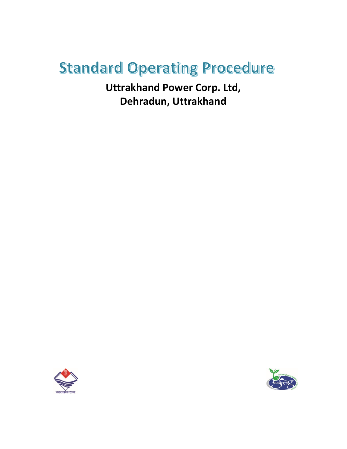# **Standard Operating Procedure**

**Uttrakhand Power Corp. Ltd, Dehradun, Uttrakhand**



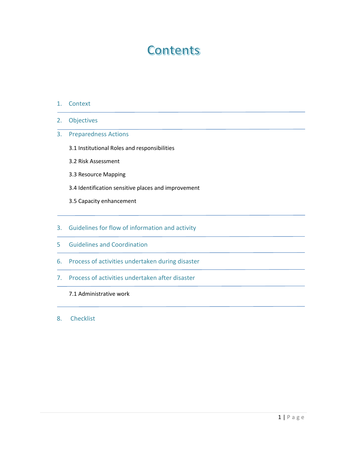# **Contents**

- 1. Context
- 2. Objectives
- 3. Preparedness Actions
	- 3.1 Institutional Roles and responsibilities
	- 3.2 Risk Assessment
	- 3.3 Resource Mapping
	- 3.4 Identification sensitive places and improvement
	- 3.5 Capacity enhancement
- 3. Guidelines for flow of information and activity
- 5 Guidelines and Coordination
- 6. Process of activities undertaken during disaster
- 7. Process of activities undertaken after disaster
	- 7.1 Administrative work
- 8. Checklist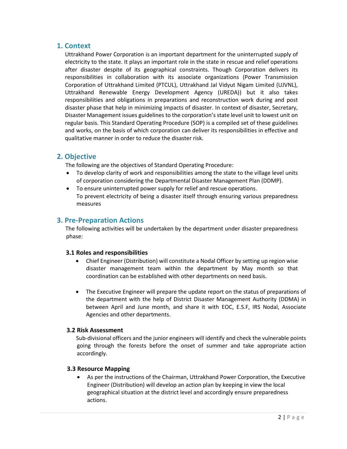# **1. Context**

Uttrakhand Power Corporation is an important department for the uninterrupted supply of electricity to the state. It plays an important role in the state in rescue and relief operations after disaster despite of its geographical constraints. Though Corporation delivers its responsibilities in collaboration with its associate organizations (Power Transmission Corporation of Uttrakhand Limited (PTCUL), Uttrakhand Jal Vidyut Nigam Limited (UJVNL), Uttrakhand Renewable Energy Development Agency (UREDA)) but it also takes responsibilities and obligations in preparations and reconstruction work during and post disaster phase that help in minimizing impacts of disaster. In context of disaster, Secretary, Disaster Management issues guidelines to the corporation's state level unit to lowest unit on regular basis. This Standard Operating Procedure (SOP) is a compiled set of these guidelines and works, on the basis of which corporation can deliver its responsibilities in effective and qualitative manner in order to reduce the disaster risk.

# **2. Objective**

The following are the objectives of Standard Operating Procedure:

- To develop clarity of work and responsibilities among the state to the village level units of corporation considering the Departmental Disaster Management Plan (DDMP).
- To ensure uninterrupted power supply for relief and rescue operations. To prevent electricity of being a disaster itself through ensuring various preparedness measures

# **3. Pre-Preparation Actions**

The following activities will be undertaken by the department under disaster preparedness phase:

### **3.1 Roles and responsibilities**

- Chief Engineer (Distribution) will constitute a Nodal Officer by setting up region wise disaster management team within the department by May month so that coordination can be established with other departments on need basis.
- The Executive Engineer will prepare the update report on the status of preparations of the department with the help of District Disaster Management Authority (DDMA) in between April and June month, and share it with EOC, E.S.F, IRS Nodal, Associate Agencies and other departments.

### **3.2 Risk Assessment**

Sub-divisional officers and the junior engineers will identify and check the vulnerable points going through the forests before the onset of summer and take appropriate action accordingly.

### **3.3 Resource Mapping**

 As per the instructions of the Chairman, Uttrakhand Power Corporation, the Executive Engineer (Distribution) will develop an action plan by keeping in view the local geographical situation at the district level and accordingly ensure preparedness actions.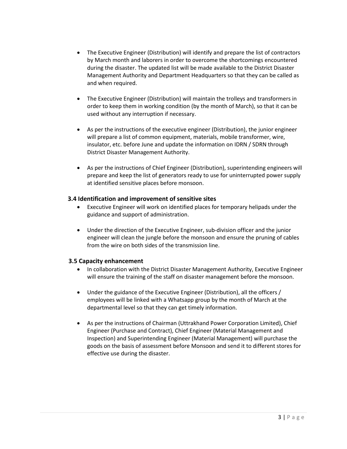- The Executive Engineer (Distribution) will identify and prepare the list of contractors by March month and laborers in order to overcome the shortcomings encountered during the disaster. The updated list will be made available to the District Disaster Management Authority and Department Headquarters so that they can be called as and when required.
- The Executive Engineer (Distribution) will maintain the trolleys and transformers in order to keep them in working condition (by the month of March), so that it can be used without any interruption if necessary.
- As per the instructions of the executive engineer (Distribution), the junior engineer will prepare a list of common equipment, materials, mobile transformer, wire, insulator, etc. before June and update the information on IDRN / SDRN through District Disaster Management Authority.
- As per the instructions of Chief Engineer (Distribution), superintending engineers will prepare and keep the list of generators ready to use for uninterrupted power supply at identified sensitive places before monsoon.

### **3.4 Identification and improvement of sensitive sites**

- Executive Engineer will work on identified places for temporary helipads under the guidance and support of administration.
- Under the direction of the Executive Engineer, sub-division officer and the junior engineer will clean the jungle before the monsoon and ensure the pruning of cables from the wire on both sides of the transmission line.

### **3.5 Capacity enhancement**

- In collaboration with the District Disaster Management Authority, Executive Engineer will ensure the training of the staff on disaster management before the monsoon.
- Under the guidance of the Executive Engineer (Distribution), all the officers / employees will be linked with a Whatsapp group by the month of March at the departmental level so that they can get timely information.
- As per the instructions of Chairman (Uttrakhand Power Corporation Limited), Chief Engineer (Purchase and Contract), Chief Engineer (Material Management and Inspection) and Superintending Engineer (Material Management) will purchase the goods on the basis of assessment before Monsoon and send it to different stores for effective use during the disaster.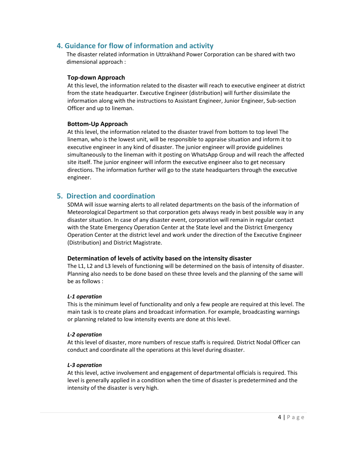# **4. Guidance for flow of information and activity**

The disaster related information in Uttrakhand Power Corporation can be shared with two dimensional approach :

#### **Top-down Approach**

At this level, the information related to the disaster will reach to executive engineer at district from the state headquarter. Executive Engineer (distribution) will further dissimilate the information along with the instructions to Assistant Engineer, Junior Engineer, Sub-section Officer and up to lineman.

#### **Bottom-Up Approach**

At this level, the information related to the disaster travel from bottom to top level The lineman, who is the lowest unit, will be responsible to appraise situation and inform it to executive engineer in any kind of disaster. The junior engineer will provide guidelines simultaneously to the lineman with it posting on WhatsApp Group and will reach the affected site itself. The junior engineer will inform the executive engineer also to get necessary directions. The information further will go to the state headquarters through the executive engineer.

# **5. Direction and coordination**

SDMA will issue warning alerts to all related departments on the basis of the information of Meteorological Department so that corporation gets always ready in best possible way in any disaster situation. In case of any disaster event, corporation will remain in regular contact with the State Emergency Operation Center at the State level and the District Emergency Operation Center at the district level and work under the direction of the Executive Engineer (Distribution) and District Magistrate.

### **Determination of levels of activity based on the intensity disaster**

The L1, L2 and L3 levels of functioning will be determined on the basis of intensity of disaster. Planning also needs to be done based on these three levels and the planning of the same will be as follows :

#### *L-1 operation*

This is the minimum level of functionality and only a few people are required at this level. The main task is to create plans and broadcast information. For example, broadcasting warnings or planning related to low intensity events are done at this level.

#### *L-2 operation*

At this level of disaster, more numbers of rescue staffs is required. District Nodal Officer can conduct and coordinate all the operations at this level during disaster.

### *L-3 operation*

At this level, active involvement and engagement of departmental officials is required. This level is generally applied in a condition when the time of disaster is predetermined and the intensity of the disaster is very high.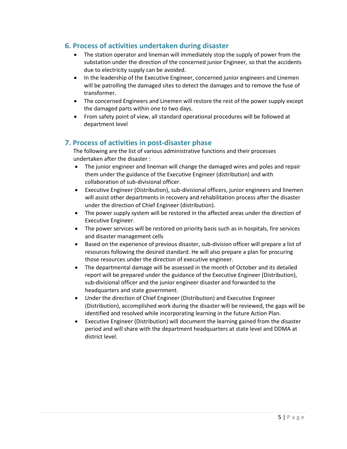# **6. Process of activities undertaken during disaster**

- The station operator and lineman will immediately stop the supply of power from the substation under the direction of the concerned junior Engineer, so that the accidents due to electricity supply can be avoided.
- In the leadership of the Executive Engineer, concerned junior engineers and Linemen will be patrolling the damaged sites to detect the damages and to remove the fuse of transformer.
- The concerned Engineers and Linemen will restore the rest of the power supply except the damaged parts within one to two days.
- From safety point of view, all standard operational procedures will be followed at department level

# **7. Process of activities in post-disaster phase**

The following are the list of various administrative functions and their processes undertaken after the disaster :

- The junior engineer and lineman will change the damaged wires and poles and repair them under the guidance of the Executive Engineer (distribution) and with collaboration of sub-divisional officer.
- Executive Engineer (Distribution), sub-divisional officers, junior engineers and linemen will assist other departments in recovery and rehabilitation process after the disaster under the direction of Chief Engineer (distribution).
- The power supply system will be restored in the affected areas under the direction of Executive Engineer.
- The power services will be restored on priority basis such as in hospitals, fire services and disaster management cells
- Based on the experience of previous disaster, sub-division officer will prepare a list of resources following the desired standard. He will also prepare a plan for procuring those resources under the direction of executive engineer.
- The departmental damage will be assessed in the month of October and its detailed report will be prepared under the guidance of the Executive Engineer (Distribution), sub-divisional officer and the junior engineer disaster and forwarded to the headquarters and state government.
- Under the direction of Chief Engineer (Distribution) and Executive Engineer (Distribution), accomplished work during the disaster will be reviewed, the gaps will be identified and resolved while incorporating learning in the future Action Plan.
- Executive Engineer (Distribution) will document the learning gained from the disaster period and will share with the department headquarters at state level and DDMA at district level.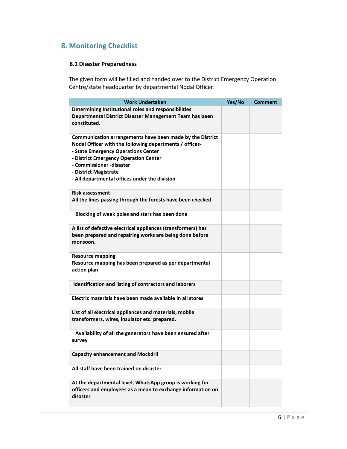# **8. Monitoring Checklist**

# **8.1 Disaster Preparedness**

The given form will be filled and handed over to the District Emergency Operation Centre/state headquarter by departmental Nodal Officer:

| <b>Work Undertaken</b>                                                                                                                                                                                                                                                                                     | Yes/No | Comment |
|------------------------------------------------------------------------------------------------------------------------------------------------------------------------------------------------------------------------------------------------------------------------------------------------------------|--------|---------|
| Determining Institutional roles and responsibilities<br>Departmental District Disaster Management Team has been<br>constituted.                                                                                                                                                                            |        |         |
| Communication arrangements have been made by the District<br>Nodal Officer with the following departments / offices-<br>- State Emergency Operations Center<br>- District Emergency Operation Center<br>- Commissioner -disaster<br>- District Magistrate<br>- All departmental offices under the division |        |         |
| <b>Risk assessment</b><br>All the lines passing through the forests have been checked                                                                                                                                                                                                                      |        |         |
| Blocking of weak poles and stars has been done                                                                                                                                                                                                                                                             |        |         |
| A list of defective electrical appliances (transformers) has<br>been prepared and repairing works are being done before<br>monsoon.                                                                                                                                                                        |        |         |
| <b>Resource mapping</b><br>Resource mapping has been prepared as per departmental<br>action plan                                                                                                                                                                                                           |        |         |
| Identification and listing of contractors and laborers                                                                                                                                                                                                                                                     |        |         |
| Electric materials have been made available in all stores                                                                                                                                                                                                                                                  |        |         |
| List of all electrical appliances and materials, mobile<br>transformers, wires, insulator etc. prepared.                                                                                                                                                                                                   |        |         |
| Availability of all the generators have been ensured after<br>survey                                                                                                                                                                                                                                       |        |         |
| <b>Capacity enhancement and Mockdril</b>                                                                                                                                                                                                                                                                   |        |         |
| All staff have been trained on disaster                                                                                                                                                                                                                                                                    |        |         |
| At the departmental level, WhatsApp group is working for<br>officers and employees as a mean to exchange information on<br>disaster                                                                                                                                                                        |        |         |